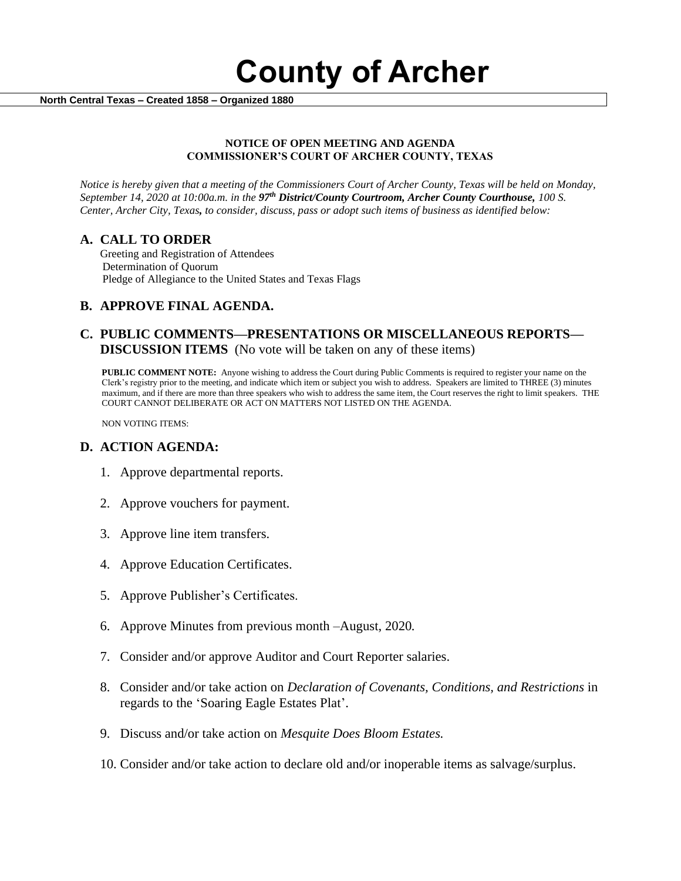**County of Archer** 

 **North Central Texas – Created 1858 – Organized 1880**

#### **NOTICE OF OPEN MEETING AND AGENDA COMMISSIONER'S COURT OF ARCHER COUNTY, TEXAS**

*Notice is hereby given that a meeting of the Commissioners Court of Archer County, Texas will be held on Monday, September 14, 2020 at 10:00a.m. in the 97th District/County Courtroom, Archer County Courthouse, 100 S. Center, Archer City, Texas, to consider, discuss, pass or adopt such items of business as identified below:*

#### **A. CALL TO ORDER**

 Greeting and Registration of Attendees Determination of Quorum Pledge of Allegiance to the United States and Texas Flags

# **B. APPROVE FINAL AGENDA.**

# **C. PUBLIC COMMENTS—PRESENTATIONS OR MISCELLANEOUS REPORTS— DISCUSSION ITEMS** (No vote will be taken on any of these items)

**PUBLIC COMMENT NOTE:** Anyone wishing to address the Court during Public Comments is required to register your name on the Clerk's registry prior to the meeting, and indicate which item or subject you wish to address. Speakers are limited to THREE (3) minutes maximum, and if there are more than three speakers who wish to address the same item, the Court reserves the right to limit speakers. THE COURT CANNOT DELIBERATE OR ACT ON MATTERS NOT LISTED ON THE AGENDA.

NON VOTING ITEMS:

### **D. ACTION AGENDA:**

- 1. Approve departmental reports.
- 2. Approve vouchers for payment.
- 3. Approve line item transfers.
- 4. Approve Education Certificates.
- 5. Approve Publisher's Certificates.
- 6. Approve Minutes from previous month –August, 2020*.*
- 7. Consider and/or approve Auditor and Court Reporter salaries.
- 8. Consider and/or take action on *Declaration of Covenants, Conditions, and Restrictions* in regards to the 'Soaring Eagle Estates Plat'.
- 9. Discuss and/or take action on *Mesquite Does Bloom Estates.*
- 10. Consider and/or take action to declare old and/or inoperable items as salvage/surplus.